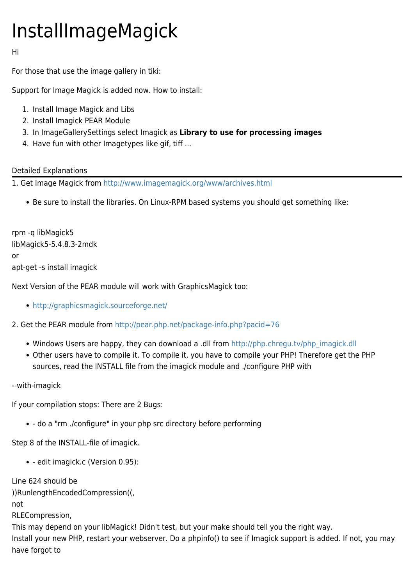## InstallImageMagick

Hi

For those that use the image gallery in tiki:

Support for Image Magick is added now. How to install:

- 1. Install Image Magick and Libs
- 2. Install Imagick PEAR Module
- 3. In ImageGallerySettings select Imagick as **Library to use for processing images**
- 4. Have fun with other Imagetypes like gif, tiff ...

## Detailed Explanations

1. Get Image Magick from <http://www.imagemagick.org/www/archives.html>

Be sure to install the libraries. On Linux-RPM based systems you should get something like:

rpm -q libMagick5 libMagick5-5.4.8.3-2mdk or apt-get -s install imagick

Next Version of the PEAR module will work with GraphicsMagick too:

- <http://graphicsmagick.sourceforge.net/>
- 2. Get the PEAR module from<http://pear.php.net/package-info.php?pacid=76>
	- Windows Users are happy, they can download a .dll from [http://php.chregu.tv/php\\_imagick.dll](http://php.chregu.tv/php_imagick.dll)
	- Other users have to compile it. To compile it, you have to compile your PHP! Therefore get the PHP sources, read the INSTALL file from the imagick module and ./configure PHP with

--with-imagick

If your compilation stops: There are 2 Bugs:

- do a "rm ./configure" in your php src directory before performing

Step 8 of the INSTALL-file of imagick.

- edit imagick.c (Version 0.95):

Line 624 should be

))RunlengthEncodedCompression((,

not

RLECompression,

This may depend on your libMagick! Didn't test, but your make should tell you the right way. Install your new PHP, restart your webserver. Do a phpinfo() to see if Imagick support is added. If not, you may have forgot to